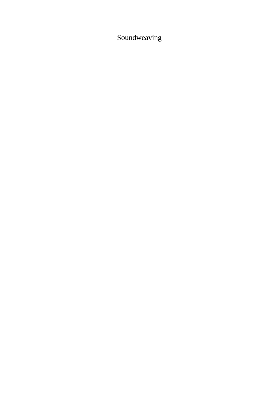# Soundweaving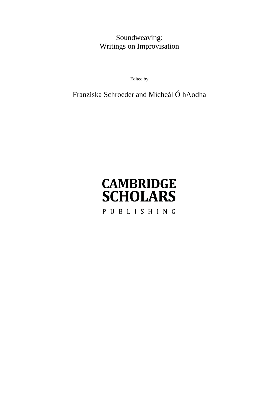# Soundweaving: Writings on Improvisation

Edited by

# Franziska Schroeder and Mícheál Ó hAodha

# **CAMBRIDGE SCHOLARS** PUBLISHING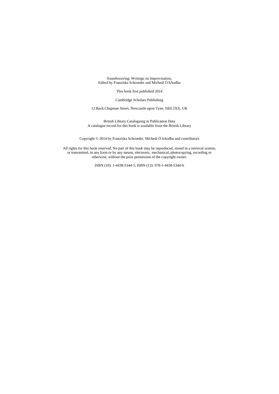Soundweaving: Writings on Improvisation, Edited by Franziska Schroeder and Mícheál Ó hAodha

This book first published 2014

Cambridge Scholars Publishing

12 Back Chapman Street, Newcastle upon Tyne, NE6 2XX, UK

British Library Cataloguing in Publication Data A catalogue record for this book is available from the British Library

Copyright © 2014 by Franziska Schroeder, Mícheál Ó hAodha and contributors

All rights for this book reserved. No part of this book may be reproduced, stored in a retrieval system, or transmitted, in any form or by any means, electronic, mechanical, photocopying, recording or otherwise, without the prior permission of the copyright owner.

ISBN (10): 1-4438-5344-5, ISBN (13): 978-1-4438-5344-6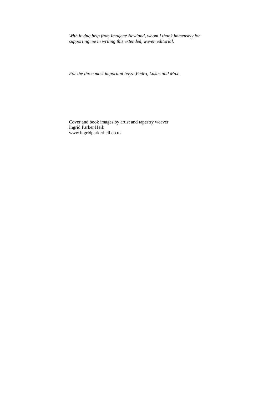*With loving help from Imogene Newland, whom I thank immensely for supporting me in writing this extended, woven editorial.* 

*For the three most important boys: Pedro, Lukas and Max.* 

Cover and book images by artist and tapestry weaver Ingrid Parker Heil: www.ingridparkerheil.co.uk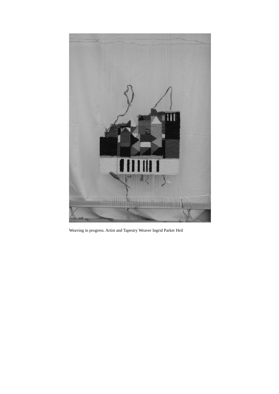

Weaving in progress. Artist and Tapestry Weaver Ingrid Parker Heil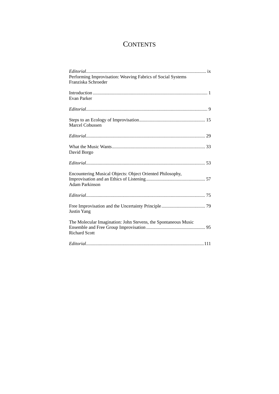# **CONTENTS**

| Performing Improvisation: Weaving Fabrics of Social Systems<br>Franziska Schroeder     |
|----------------------------------------------------------------------------------------|
| Evan Parker                                                                            |
|                                                                                        |
| Marcel Cobussen                                                                        |
|                                                                                        |
| David Borgo                                                                            |
|                                                                                        |
| Encountering Musical Objects: Object Oriented Philosophy,<br><b>Adam Parkinson</b>     |
|                                                                                        |
| <b>Justin Yang</b>                                                                     |
| The Molecular Imagination: John Stevens, the Spontaneous Music<br><b>Richard Scott</b> |
|                                                                                        |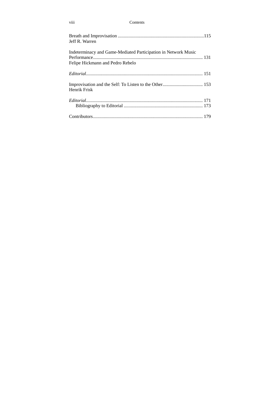#### viii Contents

| Jeff R. Warren                                                                                     |  |
|----------------------------------------------------------------------------------------------------|--|
| Indeterminacy and Game-Mediated Participation in Network Music<br>Felipe Hickmann and Pedro Rebelo |  |
|                                                                                                    |  |
| Henrik Frisk                                                                                       |  |
|                                                                                                    |  |
|                                                                                                    |  |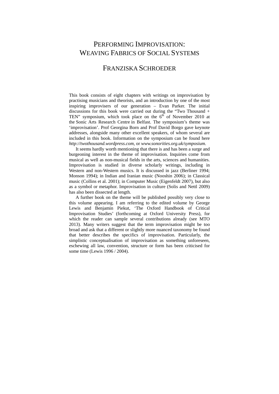## PERFORMING IMPROVISATION: WEAVING FABRICS OF SOCIAL SYSTEMS

### FRANZISKA SCHROEDER

This book consists of eight chapters with writings on improvisation by practising musicians and theorists, and an introduction by one of the most inspiring improvisers of our generation – Evan Parker. The initial discussions for this book were carried out during the "Two Thousand + TEN" symposium, which took place on the  $6<sup>th</sup>$  of November 2010 at the Sonic Arts Research Centre in Belfast. The symposium's theme was 'improvisation'. Prof Georgina Born and Prof David Borgo gave keynote addresses, alongside many other excellent speakers, of whom several are included in this book. Information on the symposium can be found here *http://twothousand.wordpress.com*, or *www.sonorities.org.uk/symposium.* 

It seems hardly worth mentioning that there is and has been a surge and burgeoning interest in the theme of improvisation. Inquiries come from musical as well as non-musical fields in the arts, sciences and humanities. Improvisation is studied in diverse scholarly writings, including in Western and non-Western musics. It is discussed in jazz (Berliner 1994; Monson 1994); in Indian and Iranian music (Nooshin 2006); in Classical music (Collins et al. 2001); in Computer Music (Eigenfeldt 2007), but also as a symbol or metaphor. Improvisation in culture (Solis and Nettl 2009) has also been dissected at length.

A further book on the theme will be published possibly very close to this volume appearing. I am referring to the edited volume by George Lewis and Benjamin Piekut, 'The Oxford Handbook of Critical Improvisation Studies' (forthcoming at Oxford University Press), for which the reader can sample several contributions already (see MTO 2013). Many writers suggest that the term improvisation might be too broad and ask that a different or slightly more nuanced taxonomy be found that better describes the specifics of improvisation. Particularly, the simplistic conceptualisation of improvisation as something unforeseen, eschewing all law, convention, structure or form has been criticised for some time (Lewis 1996 / 2004).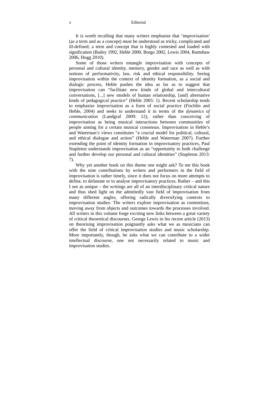It is worth recalling that many writers emphasise that 'improvisation' (as a term and as a concept) must be understood as tricky, complicated and ill-defined; a term and concept that is highly contested and loaded with signification (Bailey 1992, Heble 2000, Borgo 2002, Lewis 2004, Ramshaw 2006, Hogg 2010).

Some of those writers entangle improvisation with concepts of personal and cultural identity, memory, gender and race as well as with notions of performativity, law, risk and ethical responsibility. Seeing improvisation within the context of identity formation, as a social and dialogic process, Heble pushes the idea as far as to suggest that improvisation can "facilitate new kinds of global and intercultural conversations, [...] new models of human relationship, [and] alternative kinds of pedagogical practice" (Heble 2005: 1). Recent scholarship tends to emphasise improvisation as a form of social practice (Fischlin and Heble, 2004) and seeks to understand it in terms of the *dynamics of communication* (Landgraf 2009: 12), rather than conceiving of improvisation as being musical interactions between communities of people aiming for a certain musical consensus. Improvisation in Heble's and Waterman's views constitutes "a crucial model for political, cultural, and ethical dialogue and action" (Heble and Waterman 2007). Further extending the point of identity formation in improvisatory practices, Paul Stapleton understands improvisation as an "opportunity to both challenge and further develop our personal and cultural identities" (Stapleton 2013: 7).

Why yet another book on this theme one might ask? To me this book with the nine contributions by writers and performers in the field of improvisation is rather timely, since it does not focus on more attempts to define, to delineate or to analyse improvisatory practices. Rather – and this I see as unique – the writings are all of an interdisciplinary critical nature and thus shed light on the admittedly vast field of improvisation from many different angles, offering radically diversifying contexts to improvisation studies. The writers explore improvisation as contentious, moving away from objects and outcomes towards the processes involved. All writers in this volume forge exciting new links between a great variety of critical theoretical discourses. George Lewis in his recent article (2013) on theorising improvisation poignantly asks what we as musicians can offer the field of critical improvisation studies and music scholarship. More importantly, though, he asks what we can contribute to a wider intellectual discourse, one not necessarily related to music and improvisation studies.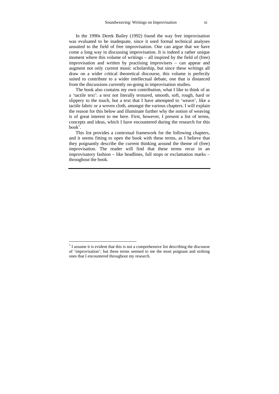In the 1990s Derek Bailey (1992) found the way free improvisation was evaluated to be inadequate, since it used formal technical analyses unsuited to the field of free improvisation. One can argue that we have come a long way in discussing improvisation. It is indeed a rather unique moment where this volume of writings – all inspired by the field of (free) improvisation and written by practising improvisers – can appear and augment not only current music scholarship, but since these writings all draw on a wider critical theoretical discourse, this volume is perfectly suited to contribute to a wider intellectual debate, one that is distanced from the discussions currently on-going in improvisation studies.

The book also contains my own contribution, what I like to think of as a 'tactile text': a text not literally textured, smooth, soft, rough, hard or slippery to the touch, but a text that I have attempted to 'weave', like a tactile fabric or a woven cloth, amongst the various chapters. I will explain the reason for this below and illuminate further why the notion of weaving is of great interest to me here. First, however, I present a list of terms, concepts and ideas, which I have encountered during the research for this  $book<sup>1</sup>$ .

This list provides a contextual framework for the following chapters, and it seems fitting to open the book with these terms, as I believe that they poignantly describe the current thinking around the theme of (free) improvisation. The reader will find that these terms recur in an improvisatory fashion – like headlines, full stops or exclamation marks – throughout the book.

<sup>&</sup>lt;sup>1</sup> I assume it is evident that this is not a comprehensive list describing the discourse of 'improvisation'; but these terms seemed to me the most poignant and striking ones that I encountered throughout my research.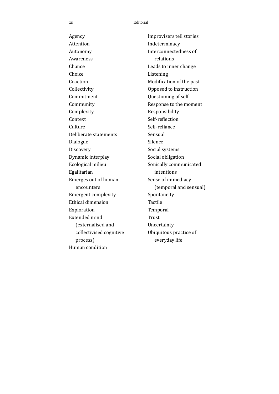#### xii Editorial

Agency **Attention** Autonomy Awareness Chance Choice Coaction Collectivity Commitment Community Complexity Context Culture Deliberate statements Dialogue **Discovery** Dynamic interplay Ecological milieu Egalitarian Emerges out of human encounters Emergent complexity Ethical dimension Exploration Extended mind (externalised and collectivised cognitive process) Human condition

Improvisers tell stories Indeterminacy Interconnectedness of relations Leads to inner change Listening Modification of the past Opposed to instruction Questioning of self Response to the moment Responsibility Self-reflection Self-reliance Sensual Silence Social systems Social obligation Sonically communicated intentions Sense of immediacy (temporal and sensual) Spontaneity Tactile Temporal Trust Uncertainty Ubiquitous practice of everyday life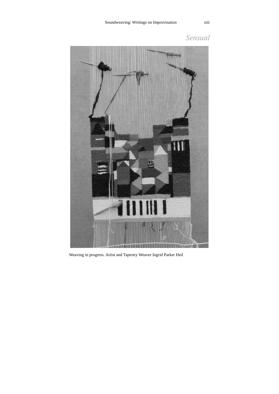

*Sensual* 

Weaving in progress. Artist and Tapestry Weaver Ingrid Parker Heil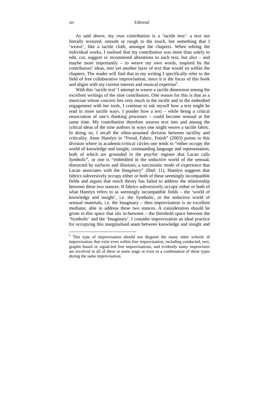xiv Editorial

As said above, my own contribution is a 'tactile text': a text not literally textured, smooth or rough to the touch, but something that I 'weave', like a tactile cloth, amongst the chapters. When editing the individual works, I realised that my contribution was more than solely to edit, cut, suggest or recommend alterations to each text, but also – and maybe more importantly – to weave my own words, inspired by the contributors' ideas, into yet another layer of text that would sit within the chapters. The reader will find that in my writing I specifically refer to the field of free collaborative improvisation, since it is the focus of this book and aligns with my current interest and musical expertise<sup>2</sup>.

With this 'tactile text' I attempt to weave a tactile dimension among the excellent writings of the nine contributors. One reason for this is that as a musician whose concern lies very much in the tactile and in the embodied engagement with her tools, I continue to ask myself how a text might be read in more tactile ways. I ponder how a text – while being a critical enunciation of one's thinking processes – could become sensual at the same time. My contribution therefore weaves text into and among the critical ideas of the nine authors in ways one might weave a tactile fabric. In doing so, I recall the often-assumed division between tactility and criticality. Anne Hamlyn in "Freud, Fabric, Fetish" (2003) points to this division where in academic/critical circles one tends to "either occupy the world of knowledge and insight, commanding language and representation, both of which are grounded in the psychic register that Lacan calls *Symbolic*", or one is "embedded in the seductive world of the sensual, distracted by surfaces and illusions, a narcissistic mode of experience that Lacan associates with the *Imaginary*" (Ibid: 11). Hamlyn suggests that fabrics subversively occupy either or both of these seemingly incompatible fields and argues that much theory has failed to address the relationship between these two stances. If fabrics subversively occupy either or both of what Hamlyn refers to as seemingly incompatible fields – the 'world of knowledge and insight', i.e. the Symbolic, or the seductive world of sensual materials, i.e. the Imaginary – then improvisation is an excellent mediator, able to address these two stances. A consideration should be given to this space that sits in-between – the threshold space between the 'Symbolic' and the 'Imaginary'. I consider improvisation an ideal practice for occupying this marginalised seam between knowledge and insight and

 $2$  This type of improvisation should not disguise the many other schools of improvisation that exist even within free improvisation, including conducted, text, graphic-based or signal-led free improvisations, and evidently many improvisers are involved in all of these at some stage or even in a combination of these types during the same improvisation.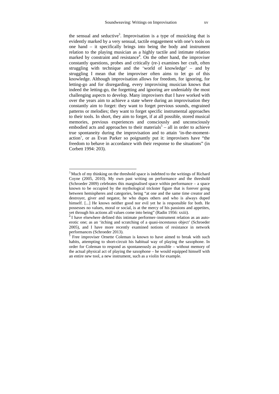the sensual and seductive<sup>3</sup>. Improvisation is a type of musicking that is evidently marked by a very sensual, tactile engagement with one's tools on one hand – it specifically brings into being the body and instrument relation to the playing musician as a highly tactile and intimate relation marked by constraint and resistance<sup>4</sup>. On the other hand, the improviser constantly questions, probes and critically (re-) examines her craft, often struggling with technique and the 'world of knowledge' – and by struggling I mean that the improviser often aims to let go of this knowledge. Although improvisation allows for freedom, for ignoring, for letting-go and for disregarding, every improvising musician knows that indeed the letting-go, the forgetting and ignoring are undeniably the most challenging aspects to develop. Many improvisers that I have worked with over the years aim to achieve a state where during an improvisation they constantly aim to forget: they want to forget previous sounds, engrained patterns or melodies; they want to forget specific instrumental approaches to their tools. In short, they aim to forget, if at all possible, stored musical memories, previous experiences and consciously and unconsciously embodied acts and approaches to their materials<sup>5</sup> – all in order to achieve true spontaneity during the improvisation and to attain 'in-the-momentaction', or as Evan Parker so poignantly put it: improvisers have "the freedom to behave in accordance with their response to the situations" (in Corbett 1994: 203).

<sup>&</sup>lt;sup>3</sup> Much of my thinking on the threshold space is indebted to the writings of Richard Coyne (2005, 2010). My own past writing on performance and the threshold (Schroeder 2009) celebrates this marginalised space within performance – a space known to be occupied by the mythological trickster figure that is forever going between hemispheres and categories, being "at one and the same time creator and destroyer, giver and negator, he who dupes others and who is always duped himself. [...] He knows neither good nor evil yet he is responsible for both. He possesses no values, moral or social, is at the mercy of his passions and appetites, yet through his actions all values come into being" (Radin 1956: xxiii).

 $\frac{3}{4}$  I have elsewhere defined this intimate performer–instrument relation as an autoerotic one; as an 'itching and scratching of a quasi-incestuous object' (Schroeder 2005), and I have more recently examined notions of resistance in network performances (Schroeder 2013).<br>
<sup>5</sup> Free improvisor Ornette Color

Free improviser Ornette Coleman is known to have aimed to break with such habits, attempting to short-circuit his habitual way of playing the saxophone. In order for Coleman to respond as spontaneously as possible – without memory of the actual physical act of playing the saxophone – he would equipped himself with an entire new tool, a new instrument, such as a violin for example.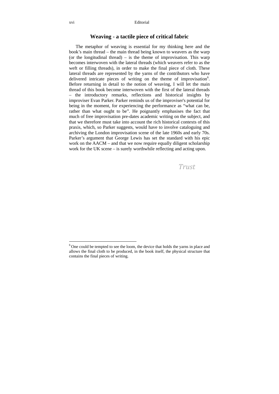#### **Weaving - a tactile piece of critical fabric**

The metaphor of weaving is essential for my thinking here and the book's main thread – the main thread being known to weavers as the warp (or the longitudinal thread) – is the theme of improvisation. This warp becomes interwoven with the lateral threads (which weavers refer to as the weft or filling threads), in order to make the final piece of cloth. These lateral threads are represented by the yarns of the contributors who have delivered intricate pieces of writing on the theme of improvisation<sup>6</sup>. Before returning in detail to the notion of weaving, I will let the main thread of this book become interwoven with the first of the lateral threads – the introductory remarks, reflections and historical insights by improviser Evan Parker. Parker reminds us of the improviser's potential for being in the moment, for experiencing the performance as "what can be, rather than what ought to be". He poignantly emphasises the fact that much of free improvisation pre-dates academic writing on the subject, and that we therefore must take into account the rich historical contexts of this praxis, which, so Parker suggests, would have to involve cataloguing and archiving the London improvisation scene of the late 1960s and early 70s. Parker's argument that George Lewis has set the standard with his epic work on the AACM – and that we now require equally diligent scholarship work for the UK scene – is surely worthwhile reflecting and acting upon.

*Trust* 

 $6$  One could be tempted to see the loom, the device that holds the varms in place and allows the final cloth to be produced, in the book itself, the physical structure that contains the final pieces of writing.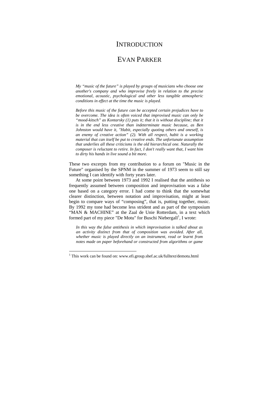### **INTRODUCTION**

### EVAN PARKER

*My "music of the future" is played by groups of musicians who choose one another's company and who improvise freely in relation to the precise emotional, acoustic, psychological and other less tangible atmospheric conditions in effect at the time the music is played.* 

*Before this music of the future can be accepted certain prejudices have to be overcome. The idea is often voiced that improvised music can only be "mood-kitsch" as Kontarsky (1) puts it; that it is without discipline; that it is in the end less creative than indeterminate music because, as Ben Johnston would have it, "Habit, especially quoting others and oneself, is an enemy of creative action" (2). With all respect, habit is a working material that can itself be put to creative ends. The unfortunate assumption that underlies all these criticisms is the old hierarchical one. Naturally the composer is reluctant to retire. In fact, I don't really want that, I want him to dirty his hands in live sound a bit more.* 

These two excerpts from my contribution to a forum on "Music in the Future" organised by the SPNM in the summer of 1973 seem to still say something I can identify with forty years later.

At some point between 1973 and 1992 I realised that the antithesis so frequently assumed between composition and improvisation was a false one based on a category error. I had come to think that the somewhat clearer distinction, between notation and improvisation, might at least begin to compare ways of "composing", that is, putting together, music. By 1992 my tone had become less strident and as part of the symposium "MAN & MACHINE" at the Zaal de Unie Rotterdam, in a text which formed part of my piece "De Motu" for Buschi Niebergall<sup>1</sup>, I wrote:

*In this way the false antithesis in which improvisation is talked about as an activity distinct from that of composition was avoided. After all, whether music is played directly on an instrument, read or learnt from notes made on paper beforehand or constructed from algorithms or game* 

<sup>&</sup>lt;sup>1</sup> This work can be found on: www.efi.group.shef.ac.uk/fulltext/demotu.html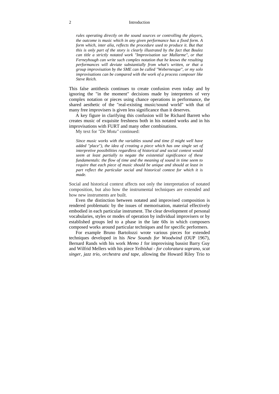#### 2 Introduction

*rules operating directly on the sound sources or controlling the players, the outcome is music which in any given performance has a fixed form. A form which, inter alia, reflects the procedure used to produce it. But that this is only part of the story is clearly illustrated by the fact that Boulez can title a strictly notated work "Improvisation sur Mallarme", or that Ferneyhough can write such complex notation that he knows the resulting performances will deviate substantially from what's written, or that a group improvisation by the SME can be called "Webernesque", or my solo improvisations can be compared with the work of a process composer like Steve Reich.* 

This false antithesis continues to create confusion even today and by ignoring the "in the moment" decisions made by interpreters of very complex notation or pieces using chance operations in performance, the shared aesthetic of the "real-existing music/sound world" with that of many free improvisers is given less significance than it deserves.

A key figure in clarifying this confusion will be Richard Barrett who creates music of exquisite freshness both in his notated works and in his improvisations with FURT and many other combinations.

My text for *"De Motu"* continued:

*Since music works with the variables sound and time (I might well have added "place"), the idea of creating a piece which has one single set of interpretive possibilities regardless of historical and social context would seem at least partially to negate the existential significance of these fundamentals: the flow of time and the meaning of sound in time seem to require that each piece of music should be unique and should at least in part reflect the particular social and historical context for which it is made.* 

Social and historical context affects not only the interpretation of notated composition, but also how the instrumental techniques are extended and how new instruments are built.

Even the distinction between notated and improvised composition is rendered problematic by the issues of memorisation, material effectively embodied in each particular instrument. The clear development of personal vocabularies, styles or modes of operation by individual improvisers or by established groups led to a phase in the late 60s in which composers composed works around particular techniques and for specific performers.

For example Bruno Bartolozzi wrote various pieces for extended techniques developed in his *New Sounds for Woodwind* (OUP 1967), Bernard Rands with his work *Memo 1* for improvising bassist Barry Guy and Wilfrid Mellers with his piece *Yeibishai - for coloratura soprano, scat singer, jazz trio, orchestra and tape*, allowing the Howard Riley Trio to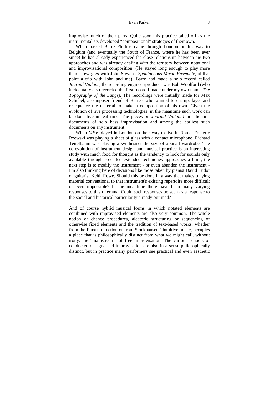#### Evan Parker 3

improvise much of their parts. Quite soon this practice tailed off as the instrumentalists developed "compositional" strategies of their own.

When bassist Barre Phillips came through London on his way to Belgium (and eventually the South of France, where he has been ever since) he had already experienced the close relationship between the two approaches and was already dealing with the territory between notational and improvisational composition. (He stayed long enough to play more than a few gigs with John Stevens' *Spontaneous Music Ensemble,* at that point a trio with John and me). Barre had made a solo record called *Journal Violone,* the recording engineer/producer was Bob Woolford (who incidentally also recorded the first record I made under my own name, *The Topography of the Lungs).* The recordings were initially made for Max Schubel, a composer friend of Barre's who wanted to cut up, layer and resequence the material to make a composition of his own. Given the evolution of live processing technologies, in the meantime such work can be done live in real time. The pieces on *Journal Violone1* are the first documents of solo bass improvisation and among the earliest such documents on any instrument.

When *MEV* played in London on their way to live in Rome, Frederic Rzewski was playing a sheet of glass with a contact microphone, Richard Teitelbaum was playing a synthesiser the size of a small wardrobe. The co-evolution of instrument design and musical practice is an interesting study with much food for thought as the tendency to look for sounds only available through so-called extended techniques approaches a limit, the next step is to modify the instrument - or even abandon the instrument - I'm also thinking here of decisions like those taken by pianist David Tudor or guitarist Keith Rowe. Should this be done in a way that makes playing material conventional to that instrument's existing repertoire more difficult or even impossible? In the meantime there have been many varying responses to this dilemma. Could such responses be seen as a response to the social and historical particularity already outlined?

And of course hybrid musical forms in which notated elements are combined with improvised elements are also very common. The whole notion of chance procedures, aleatoric structuring or sequencing of otherwise fixed elements and the tradition of text-based works, whether from the Fluxus direction or from Stockhausens' intuitive music, occupies a place that is philosophically distinct from what we might call, without irony, the "mainstream" of free improvisation. The various schools of conducted or signal-led improvisation are also in a sense philosophically distinct, but in practice many performers see practical and even aesthetic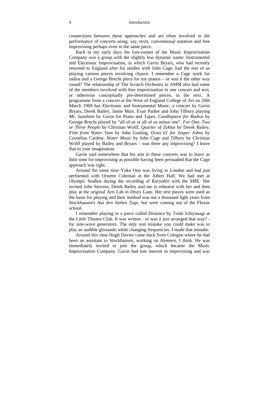#### 4 Introduction

connections between these approaches and are often involved in the performance of concerts using, say, texts, conventional notation and free improvising perhaps even in the same piece.

Back in my early days the fore-runner of the Music Improvisation Company was a group with the slightly less dynamic name: Instrumental and Electronic Improvisation, in which Gavin Bryars, who had recently returned to England after his studies with John Cage, had the rest of us playing various pieces involving chance. I remember a Cage work for radios and a George Brecht piece for toy pianos – or was it the other way round? The relationship of The Scratch Orchestra to AMM also had some of the members involved with free improvisation in one concert and text, or otherwise conceptually pre-determined pieces, in the next. A programme from a concert at the West of England College of Art on 20th March 1969 has Electronic and Instrumental Music, a concert by Gavin Bryars, Derek Bailey, Jamie Muir, Evan Parker and John Tilbury playing *Mr. Sunshine* by Gavin for Piano and Tapes, *Candlepiece for Radios* by George Brecht played by "all of us or all of us minus one", *For One, Two or Three People* by Christian Wolff, *Quarter of Zyklus* by Derek Bailey, *Film from Water Yam* by John Gosling, *Octet 61 for Jasper Johns* by Cornelius Cardew, *Water Music* by John Cage and *Tilbury* by Christian Wolff played by Bailey and Bryars – was there any improvising? I leave that to your imagination.

Gavin said somewhere that his aim in these concerts was to leave as little time for improvising as possible having been persuaded that the Cage approach was right.

Around the same time Yoko Ono was living in London and had just performed with Ornette Coleman at the Albert Hall. We had met at Olympic Studios during the recording of *Karyobin* with the SME. She invited John Stevens, Derek Bailey and me to rehearse with her and then play at the original Arts Lab in Drury Lane. Her text pieces were used as the basis for playing and their method was not a thousand light years from Stockhausen's *Aus den Sieben Tage,* but were coming out of the Fluxus school.

I remember playing in a piece called *Distance* by Toshi Ichiyanagi at the Little Theatre Club. It was written - or was it just arranged that way? for sine-wave generators. The only real mistake you could make was to play an audible glissando while changing frequencies. I made that mistake.

Around this time Hugh Davies came back from Cologne where he had been an assistant to Stockhausen, working on *Hymnen,* I think. He was immediately invited to join the group, which became the Music Improvisation Company. Gavin had lost interest in improvising and was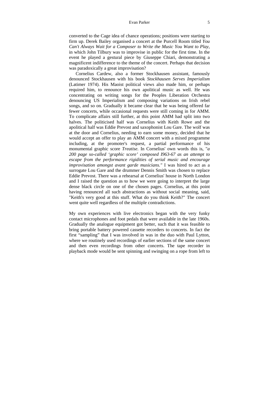#### Evan Parker 5

converted to the Cage idea of chance operations; positions were starting to firm up. Derek Bailey organised a concert at the Purcell Room titled *You Can't Always Wait for a Composer to Write the Music You Want to Play*, in which John Tilbury was to improvise in public for the first time. In the event he played a gestural piece by Giuseppe Chiari, demonstrating a magnificent indifference to the theme of the concert. Perhaps that decision was paradoxically a great improvisation?

Cornelius Cardew, also a former Stockhausen assistant, famously denounced Stockhausen with his book *Stockhausen Serves Imperialism*  (Latimer 1974). His Maoist political views also made him, or perhaps required him, to renounce his own apolitical music as well. He was concentrating on writing songs for the Peoples Liberation Orchestra denouncing US Imperialism and composing variations on Irish rebel songs, and so on. Gradually it became clear that he was being offered far fewer concerts, while occasional requests were still coming in for AMM. To complicate affairs still further, at this point AMM had split into two halves. The politicised half was Cornelius with Keith Rowe and the apolitical half was Eddie Prevost and saxophonist Lou Gare. The wolf was at the door and Cornelius, needing to earn some money, decided that he would accept an offer to play an AMM concert with a mixed programme including, at the promoter's request, a partial performance of his monumental graphic score *Treatise.* In Cornelius' own words this is, "*a 200 page so-called 'graphic score' composed I963-67 as an attempt to escape from the performance rigidities of serial music and encourage improvisation amongst avant garde musicians."* I was hired to act as a surrogate Lou Gare and the drummer Dennis Smith was chosen to replace Eddie Prevost. There was a rehearsal at Cornelius' house in North London and I raised the question as to how we were going to interpret the large dense black circle on one of the chosen pages. Cornelius, at this point having renounced all such abstractions as without social meaning, said, "Keith's very good at this stuff. What do you think Keith?" The concert went quite well regardless of the multiple contradictions.

My own experiences with live electronics began with the very funky contact microphones and foot pedals that were available in the late 1960s. Gradually the analogue equipment got better, such that it was feasible to bring portable battery powered cassette recorders to concerts. In fact the first "sampling" that I was involved in was in the duo with Paul Lytton, where we routinely used recordings of earlier sections of the same concert and then even recordings from other concerts. The tape recorder in playback mode would be sent spinning and swinging on a rope from left to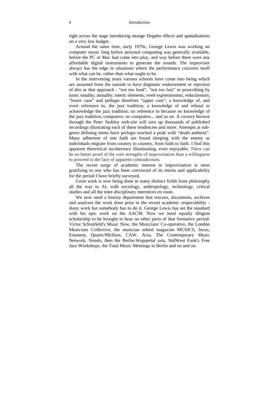right across the stage introducing strange Doppler effects and spatialisations on a very low budget.

Around the same time, early 1970s, George Lewis was working on computer music long before personal computing was generally available, before the PC or Mac had come into play, and way before there were any affordable digital instruments to generate the sounds. The improviser always has the edge in situations where the performance concerns itself with what can be, rather than what ought to be.

In the intervening years various schools have come into being which are assumed from the outside to have dogmatic endorsement or rejection of this or that approach - "not too loud", "not too fast" or proscribing by turns: tonality; atonality; metric elements; overt expressionism; reductionism; "lower case" and perhaps therefore "upper case"; a knowledge of, and overt reference to, the jazz tradition; a knowledge of and refusal to acknowledge the jazz tradition; no reference to because no knowledge of the jazz tradition; computers; no computers... and so on. A cursory browse through the Peter Stubley web-site will turn up thousands of published recordings illustrating each of these tendencies and more. Attempts at subgenre defining terms have perhaps reached a peak with "death ambient". Many adherents of one faith are found sleeping with the enemy as individuals migrate from country to country, from faith to faith. I find this apparent theoretical incoherence illuminating, even enjoyable. There can be no better proof of the core strengths of improvisation than a willingness to proceed in the face of apparent contradictions.

The recent surge of academic interest in improvisation is most gratifying to one who has been convinced of its merits and applicability for the period I have briefly surveyed.

Great work is now being done in many distinct fields from philosophy all the way to AI, with sociology, anthropology, technology, critical studies and all the inter-disciplinary interstices en route.

We now need a history department that rescues, documents, archives and analyses the work done prior to the recent academic respectability dusty work but somebody has to do it. George Lewis has set the standard with his epic work on the AACM. Now we need equally diligent scholarship to be brought to bear on other parts of that formative period: Victor Schonfield's Music Now, the Musicians' Co-operative, the London Musicians Collective, the musician edited magazine MUSICS, Incus, Emanem, Quartz/Mirliton, CAW, Acta, The Contemporary Music Network, Nondo, then the Berlin-Wuppertal axis, SüdWest Funk's Free Jazz Workshops, the Total Music Meetings in Berlin and on and on.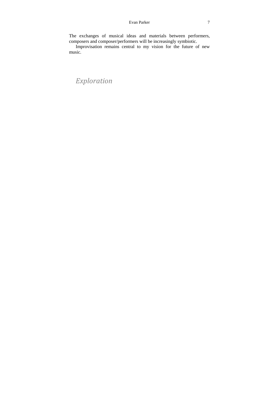#### Evan Parker 7

The exchanges of musical ideas and materials between performers, composers and composer/performers will be increasingly symbiotic.

Improvisation remains central to my vision for the future of new music.

# *Exploration*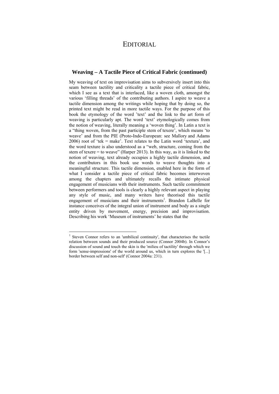### EDITORIAL

#### **Weaving – A Tactile Piece of Critical Fabric (continued)**

My weaving of text on improvisation aims to subversively insert into this seam between tactility and criticality a tactile piece of critical fabric, which I see as a text that is interlaced, like a woven cloth, amongst the various 'filling threads' of the contributing authors. I aspire to weave a tactile dimension among the writings while hoping that by doing so, the printed text might be read in more tactile ways. For the purpose of this book the etymology of the word 'text' and the link to the art form of weaving is particularly apt. The word 'text' etymologically comes from the notion of weaving, literally meaning a 'woven thing'. In Latin a text is a "thing woven, from the past participle stem of texere', which means 'to weave' and from the PIE (Proto-Indo-European: see Mallory and Adams 2006) root of 'tek = make'. Text relates to the Latin word 'textura', and the word texture is also understood as a "web, structure, coming from the stem of texere = to weave" (Harper 2013). In this way, as it is linked to the notion of weaving, text already occupies a highly tactile dimension, and the contributors in this book use words to weave thoughts into a meaningful structure. This tactile dimension, enabled here in the form of what I consider a tactile piece of critical fabric becomes interwoven among the chapters and ultimately recalls the intimate physical engagement of musicians with their instruments. Such tactile commitment between performers and tools is clearly a highly relevant aspect in playing any style of music, and many writers have theorised this tactile engagement of musicians and their instruments<sup>1</sup>. Brandon LaBelle for instance conceives of the integral union of instrument and body as a single entity driven by movement, energy, precision and improvisation. Describing his work 'Museum of instruments' he states that the

<sup>&</sup>lt;sup>1</sup> Steven Connor refers to an 'umbilical continuity', that characterises the tactile relation between sounds and their produced source (Connor 2004b). In Connor's discussion of sound and touch the skin is the 'milieu of tactility' through which we form 'sense-impressions' of the world around us, which in turn explores the '[...] border between self and non-self' (Connor 2004a: 231).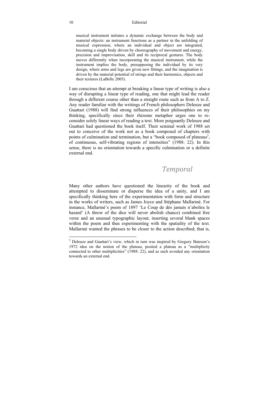#### 10 Editorial

musical instrument initiates a dynamic exchange between the body and material objects: an instrument functions as a partner in the unfolding of musical expression, where an individual and object are integrated, becoming a single body driven by choreography of movement and energy, precision and improvisation, skill and its reciprocal gestures. The body moves differently when incorporating the musical instrument, while the instrument implies the body, presupposing the individual by its very design, where arms and legs are given new fittings, and the imagination is driven by the material potential of strings and their harmonics, objects and their textures (LaBelle 2005).

I am conscious that an attempt at breaking a linear type of writing is also a way of disrupting a linear type of reading, one that might lead the reader through a different course other than a straight route such as from A to Z. Any reader familiar with the writings of French philosophers Deleuze and Guattari (1988) will find strong influences of their philosophies on my thinking, specifically since their rhizome metaphor urges one to reconsider solely linear ways of reading a text. More poignantly Deleuze and Guattari had questioned the book itself. Their seminal work of 1988 set out to conceive of the work not as a book composed of chapters with points of culmination and termination, but a "book composed of plateaus<sup>2</sup>, of continuous, self-vibrating regions of intensities" (1988: 22). In this sense, there is no orientation towards a specific culmination or a definite external end.

### *Temporal*

Many other authors have questioned the linearity of the book and attempted to disseminate or disperse the idea of a unity, and I am specifically thinking here of the experimentation with form and structure in the works of writers, such as James Joyce and Stéphane Mallarmé. For instance, Mallarmé's poem of 1897 'Le Coup de dés jamais n'abolira le hazard' (A throw of the dice will never abolish chance) combined free verse and an unusual typographic layout, inserting several blank spaces within the poem and thus experimenting with the spatiality of the text. Mallarmé wanted the phrases to be closer to the action described; that is,

 $2$  Deleuze and Guattari's view, which in turn was inspired by Gregory Bateson's 1972 idea on the notion of the plateau, posited a plateau as a "multiplicity connected to other multiplicities" (1988: 22), and as such avoided any orientation towards an external end.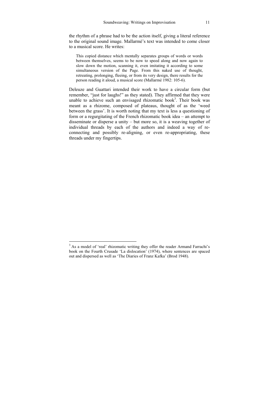the rhythm of a phrase had to be the action itself, giving a literal reference to the original sound image. Mallarmé's text was intended to come closer to a musical score. He writes:

This copied distance which mentally separates groups of words or words between themselves, seems to be now to speed along and now again to slow down the motion, scanning it, even imitating it according to some simultaneous version of the Page. From this naked use of thought, retreating, prolonging, fleeing, or from its very design, there results for the person reading it aloud, a musical score (Mallarmé 1982: 105-6).

Deleuze and Guattari intended their work to have a circular form (but remember, "just for laughs!" as they stated). They affirmed that they were unable to achieve such an envisaged rhizomatic book<sup>3</sup>. Their book was meant as a rhizome, composed of plateaus, thought of as the 'weed between the grass'. It is worth noting that my text is less a questioning of form or a regurgitating of the French rhizomatic book idea – an attempt to disseminate or disperse a unity – but more so, it is a weaving together of individual threads by each of the authors and indeed a way of reconnecting and possibly re-aligning, or even re-appropriating, these threads under my fingertips.

<sup>&</sup>lt;sup>3</sup> As a model of 'real' rhizomatic writing they offer the reader Armand Farrachi's book on the Fourth Crusade 'La dislocation' (1974), where sentences are spaced out and dispersed as well as 'The Diaries of Franz Kafka' (Brod 1948).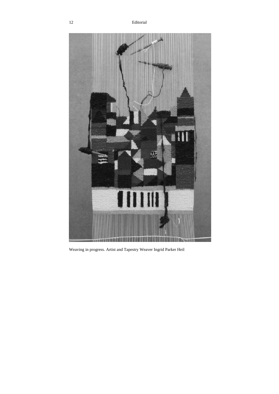

Weaving in progress. Artist and Tapestry Weaver Ingrid Parker Heil